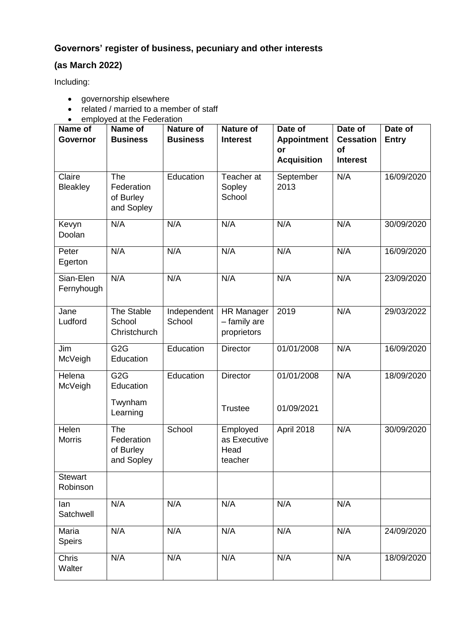## **Governors' register of business, pecuniary and other interests**

## **(as March 2022)**

Including:

- governorship elsewhere
- related / married to a member of staff
- employed at the Federation

| Name of<br><b>Governor</b> | Name of<br><b>Business</b>                           | <b>Nature of</b><br><b>Business</b> | <b>Nature of</b><br><b>Interest</b>              | Date of<br><b>Appointment</b><br>or<br><b>Acquisition</b> | Date of<br><b>Cessation</b><br>of<br><b>Interest</b> | Date of<br><b>Entry</b> |
|----------------------------|------------------------------------------------------|-------------------------------------|--------------------------------------------------|-----------------------------------------------------------|------------------------------------------------------|-------------------------|
| Claire<br><b>Bleakley</b>  | The<br>Federation<br>of Burley<br>and Sopley         | Education                           | Teacher at<br>Sopley<br>School                   | September<br>2013                                         | N/A                                                  | 16/09/2020              |
| Kevyn<br>Doolan            | N/A                                                  | N/A                                 | N/A                                              | N/A                                                       | N/A                                                  | 30/09/2020              |
| Peter<br>Egerton           | N/A                                                  | N/A                                 | N/A                                              | N/A                                                       | N/A                                                  | 16/09/2020              |
| Sian-Elen<br>Fernyhough    | N/A                                                  | N/A                                 | N/A                                              | N/A                                                       | N/A                                                  | 23/09/2020              |
| Jane<br>Ludford            | The Stable<br>School<br>Christchurch                 | Independent<br>School               | <b>HR Manager</b><br>- family are<br>proprietors | 2019                                                      | N/A                                                  | 29/03/2022              |
| Jim<br>McVeigh             | G <sub>2</sub> G<br>Education                        | Education                           | <b>Director</b>                                  | 01/01/2008                                                | N/A                                                  | 16/09/2020              |
| Helena<br>McVeigh          | G <sub>2</sub> G<br>Education<br>Twynham<br>Learning | Education                           | <b>Director</b><br><b>Trustee</b>                | 01/01/2008<br>01/09/2021                                  | N/A                                                  | 18/09/2020              |
| Helen<br><b>Morris</b>     | The<br>Federation<br>of Burley<br>and Sopley         | School                              | Employed<br>as Executive<br>Head<br>teacher      | April 2018                                                | N/A                                                  | 30/09/2020              |
| <b>Stewart</b><br>Robinson |                                                      |                                     |                                                  |                                                           |                                                      |                         |
| lan<br>Satchwell           | N/A                                                  | N/A                                 | N/A                                              | N/A                                                       | N/A                                                  |                         |
| Maria<br><b>Speirs</b>     | N/A                                                  | N/A                                 | N/A                                              | N/A                                                       | N/A                                                  | 24/09/2020              |
| Chris<br>Walter            | N/A                                                  | N/A                                 | N/A                                              | N/A                                                       | N/A                                                  | 18/09/2020              |